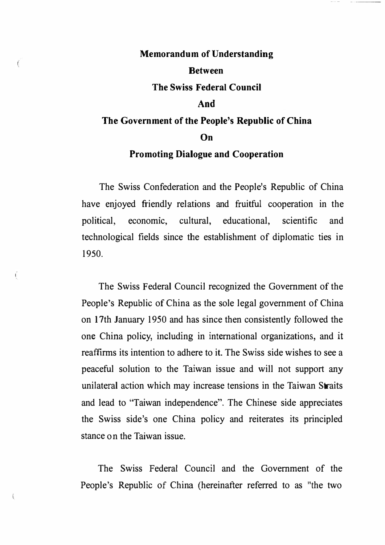## Memorandum of Understanding Between The Swiss Federal Council And The Government of the People's Republic of China On Promoting Dialogue and Cooperation

 $\overline{\mathcal{L}}$ 

 $\overline{\mathcal{L}}$ 

- ---

The Swiss Confederation and the People's Republic of China have enjoyed friendly relations and fruitful cooperation in the political, economic, cultural, educational, scientific and technological fields since the establishment of diplomatic ties in 1950.

The Swiss Federal Council recognized the Government of the People's Republic of China as the sole legal government of China on 17th January 1950 and has since then consistently followed the one China policy, including in international organizations, and it reaffirms its intention to adhere to it. The Swiss side wishes to see a peaceful solution to the Taiwan issue and will not support any unilateral action which may increase tensions in the Taiwan Straits and lead to "Taiwan independence". The Chinese side appreciates the Swiss side's one China policy and reiterates its principled stance on the Taiwan issue.

The Swiss Federal Council and the Government of the People's Republic of China (hereinafter referred to as "the two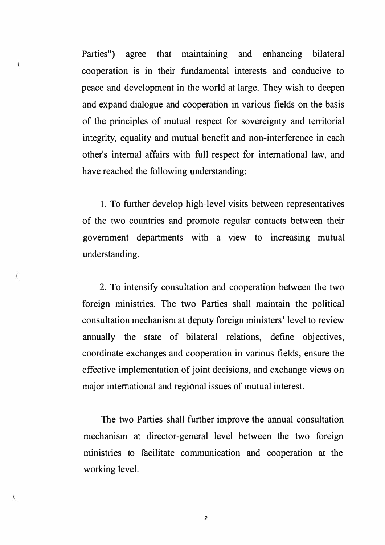Parties") agree that maintaining and enhancing bilateral cooperation is in their fundamental interests and conducive to peace and development in the world at large. They wish to deepen and expand dialogue and cooperation in various fields on the basis of the principles of mutual respect for sovereignty and territorial integrity, equality and mutual benefit and non-interference in each other's internal affairs with full respect for international law, and have reached the following understanding:

 $\overline{(}$ 

 $\mathcal{L}$ 

1. To further develop high-level visits between representatives of the two countries and promote regular contacts between their government departments with a view to increasing mutual understanding.

2. To intensify consultation and cooperation between the two foreign ministries. The two Parties shall maintain the political consultation mechanism at deputy foreign ministers' level to review annually the state of bilateral relations, define objectives, coordinate exchanges and cooperation in various fields, ensure the effective implementation of joint decisions, and exchange views on major international and regional issues of mutual interest.

The two Parties shall further improve the annual consultation mechanism at director-general level between the two foreign ministries to facilitate communication and cooperation at the working level.

2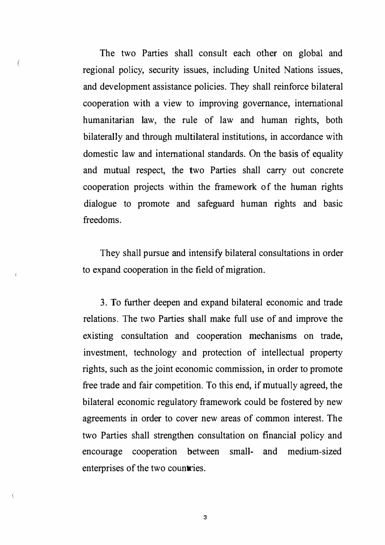The two Parties shall consult each other on global and regional policy, security issues, including United Nations issues, and development assistance policies. They shall reinforce bilateral cooperation with a view to improving governance, international humanitarian law, the rule of law and human rights, both bilaterally and through multilateral institutions, in accordance with domestic law and international standards. On the basis of equality and mutual respect, the two Parties shall carry out concrete cooperation projects within the framework of the human rights dialogue to promote and safeguard human rights and basic freedoms.

 $\left($ 

They shall pursue and intensify bilateral consultations in order to expand cooperation in the field of migration.

3. To further deepen and expand bilateral economic and trade relations. The two Parties shall make full use of and improve the existing consultation and cooperation mechanisms on trade, investment, technology and protection of intellectual property rights, such as the joint economic commission, in order to promote free trade and fair competition. To this end, if mutually agreed, the bilateral economic regulatory framework could be fostered by new agreements in order to cover new areas of common interest. The two Parties shall strengthen consultation on financial policy and encourage cooperation between small- and medium-sized enterprises of the two countries.

3